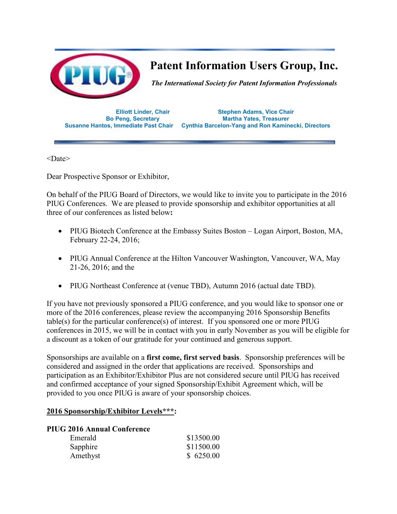

# **Patent Information Users Group, Inc.**

*The International Society for Patent Information Professionals* 

**Elliott Linder, Chair Stephen Adams, Vice Chair Martha Yates, Treasurer Susanne Hantos, Immediate Past Chair Cynthia Barcelon-Yang and Ron Kaminecki, Directors**

 $<$ Date $>$ 

Dear Prospective Sponsor or Exhibitor,

On behalf of the PIUG Board of Directors, we would like to invite you to participate in the 2016 PIUG Conferences. We are pleased to provide sponsorship and exhibitor opportunities at all three of our conferences as listed below**:**

- PIUG Biotech Conference at the Embassy Suites Boston Logan Airport, Boston, MA, February 22-24, 2016;
- PIUG Annual Conference at the Hilton Vancouver Washington, Vancouver, WA, May 21-26, 2016; and the
- PIUG Northeast Conference at (venue TBD), Autumn 2016 (actual date TBD).

If you have not previously sponsored a PIUG conference, and you would like to sponsor one or more of the 2016 conferences, please review the accompanying 2016 Sponsorship Benefits table(s) for the particular conference(s) of interest. If you sponsored one or more PIUG conferences in 2015, we will be in contact with you in early November as you will be eligible for a discount as a token of our gratitude for your continued and generous support.

Sponsorships are available on a **first come, first served basis**. Sponsorship preferences will be considered and assigned in the order that applications are received. Sponsorships and participation as an Exhibitor/Exhibitor Plus are not considered secure until PIUG has received and confirmed acceptance of your signed Sponsorship/Exhibit Agreement which, will be provided to you once PIUG is aware of your sponsorship choices.

### **2016 Sponsorship/Exhibitor Levels\*\*\*:**

#### **PIUG 2016 Annual Conference**

| Emerald  | \$13500.00 |
|----------|------------|
| Sapphire | \$11500.00 |
| Amethyst | \$6250.00  |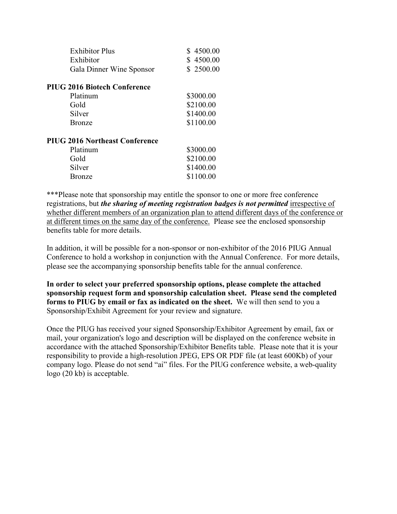| \$4500.00<br>\$4500.00<br>\$2500.00 |
|-------------------------------------|
|                                     |
| \$3000.00                           |
| \$2100.00                           |
| \$1400.00                           |
| \$1100.00                           |
|                                     |
| \$3000.00                           |
| \$2100.00                           |
| \$1400.00                           |
| \$1100.00                           |
|                                     |

\*\*\*Please note that sponsorship may entitle the sponsor to one or more free conference registrations, but *the sharing of meeting registration badges is not permitted* irrespective of whether different members of an organization plan to attend different days of the conference or at different times on the same day of the conference. Please see the enclosed sponsorship benefits table for more details.

In addition, it will be possible for a non-sponsor or non-exhibitor of the 2016 PIUG Annual Conference to hold a workshop in conjunction with the Annual Conference. For more details, please see the accompanying sponsorship benefits table for the annual conference.

**In order to select your preferred sponsorship options, please complete the attached sponsorship request form and sponsorship calculation sheet. Please send the completed forms to PIUG by email or fax as indicated on the sheet.** We will then send to you a Sponsorship/Exhibit Agreement for your review and signature.

Once the PIUG has received your signed Sponsorship/Exhibitor Agreement by email, fax or mail, your organization's logo and description will be displayed on the conference website in accordance with the attached Sponsorship/Exhibitor Benefits table. Please note that it is your responsibility to provide a high-resolution JPEG, EPS OR PDF file (at least 600Kb) of your company logo. Please do not send "ai" files. For the PIUG conference website, a web-quality logo (20 kb) is acceptable.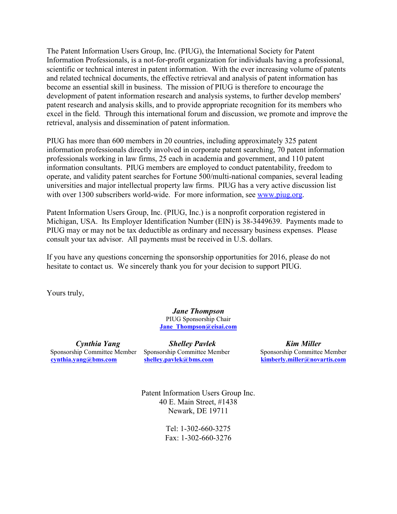The Patent Information Users Group, Inc. (PIUG), the International Society for Patent Information Professionals, is a not-for-profit organization for individuals having a professional, scientific or technical interest in patent information. With the ever increasing volume of patents and related technical documents, the effective retrieval and analysis of patent information has become an essential skill in business. The mission of PIUG is therefore to encourage the development of patent information research and analysis systems, to further develop members' patent research and analysis skills, and to provide appropriate recognition for its members who excel in the field. Through this international forum and discussion, we promote and improve the retrieval, analysis and dissemination of patent information.

PIUG has more than 600 members in 20 countries, including approximately 325 patent information professionals directly involved in corporate patent searching, 70 patent information professionals working in law firms, 25 each in academia and government, and 110 patent information consultants. PIUG members are employed to conduct patentability, freedom to operate, and validity patent searches for Fortune 500/multi-national companies, several leading universities and major intellectual property law firms. PIUG has a very active discussion list with over 1300 subscribers world-wide. For more information, see www.piug.org.

Patent Information Users Group, Inc. (PIUG, Inc.) is a nonprofit corporation registered in Michigan, USA. Its Employer Identification Number (EIN) is 38-3449639. Payments made to PIUG may or may not be tax deductible as ordinary and necessary business expenses. Please consult your tax advisor. All payments must be received in U.S. dollars.

If you have any questions concerning the sponsorship opportunities for 2016, please do not hesitate to contact us. We sincerely thank you for your decision to support PIUG.

Yours truly,

*Jane Thompson*  PIUG Sponsorship Chair **Jane\_Thompson@eisai.com**

*Cynthia Yang Shelley Pavlek Kim Miller* 

Sponsorship Committee Member Sponsorship Committee Member Sponsorship Committee Member **cynthia.yang@bms.com****shelley.pavlek@bms.com kimberly.miller@novartis.com**

> Patent Information Users Group Inc. 40 E. Main Street, #1438 Newark, DE 19711

> > Tel: 1-302-660-3275 Fax: 1-302-660-3276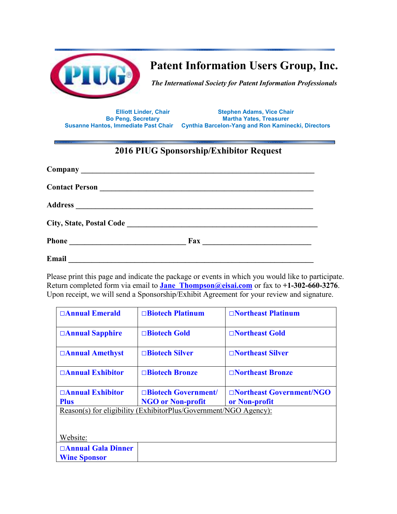

**Patent Information Users Group, Inc.** 

*The International Society for Patent Information Professionals* 

**Elliott Linder, Chair Stephen Adams, Vice Chair Martha Yates, Treasurer Susanne Hantos, Immediate Past Chair Cynthia Barcelon-Yang and Ron Kaminecki, Directors**

## **2016 PIUG Sponsorship/Exhibitor Request**

|       | $\frac{Fax}{ax}$ |  |
|-------|------------------|--|
| Email |                  |  |

Please print this page and indicate the package or events in which you would like to participate. Return completed form via email to **Jane\_Thompson@eisai.com** or fax to **+1-302-660-3276**. Upon receipt, we will send a Sponsorship/Exhibit Agreement for your review and signature.

| □ Annual Emerald                                                 | $\Box$ Biotech Platinum  | $\Box$ Northeast Platinum |  |  |
|------------------------------------------------------------------|--------------------------|---------------------------|--|--|
| □Annual Sapphire                                                 | □Biotech Gold            | □Northeast Gold           |  |  |
| □Annual Amethyst                                                 | □ <b>Biotech Silver</b>  | □Northeast Silver         |  |  |
| □ Annual Exhibitor                                               | □ <b>Biotech Bronze</b>  | □Northeast Bronze         |  |  |
| $\Box$ Annual Exhibitor                                          | □Biotech Government/     | □Northeast Government/NGO |  |  |
| <b>Plus</b>                                                      | <b>NGO or Non-profit</b> | or Non-profit             |  |  |
| Reason(s) for eligibility (ExhibitorPlus/Government/NGO Agency): |                          |                           |  |  |
|                                                                  |                          |                           |  |  |
|                                                                  |                          |                           |  |  |
|                                                                  |                          |                           |  |  |
| Website:                                                         |                          |                           |  |  |
| □Annual Gala Dinner                                              |                          |                           |  |  |